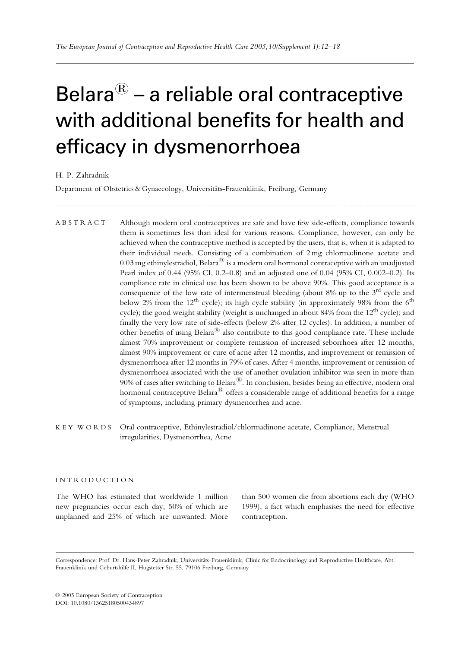# Belara $\mathbb{B}$  – a reliable oral contraceptive with additional benefits for health and efficacy in dysmenorrhoea

............................................................................................................................... ............................................................................

H. P. Zahradnik

Department of Obstetrics & Gynaecology, Universitäts-Frauenklinik, Freiburg, Germany

ABSTRACT Although modern oral contraceptives are safe and have few side-effects, compliance towards them is sometimes less than ideal for various reasons. Compliance, however, can only be achieved when the contraceptive method is accepted by the users, that is, when it is adapted to their individual needs. Consisting of a combination of 2 mg chlormadinone acetate and 0.03 mg ethinylestradiol, Belara $^{\circledR}$  is a modern oral hormonal contraceptive with an unadjusted Pearl index of 0.44 (95% CI, 0.2–0.8) and an adjusted one of 0.04 (95% CI, 0.002–0.2). Its compliance rate in clinical use has been shown to be above 90%. This good acceptance is a consequence of the low rate of intermenstrual bleeding (about  $8\%$  up to the  $3<sup>rd</sup>$  cycle and below 2% from the  $12<sup>th</sup>$  cycle); its high cycle stability (in approximately 98% from the  $6<sup>th</sup>$ cycle); the good weight stability (weight is unchanged in about  $84\%$  from the  $12<sup>th</sup>$  cycle); and finally the very low rate of side-effects (below 2% after 12 cycles). In addition, a number of other benefits of using Belara<sup>®</sup> also contribute to this good compliance rate. These include almost 70% improvement or complete remission of increased seborrhoea after 12 months, almost 90% improvement or cure of acne after 12 months, and improvement or remission of dysmenorrhoea after 12 months in 79% of cases. After 4 months, improvement or remission of dysmenorrhoea associated with the use of another ovulation inhibitor was seen in more than 90% of cases after switching to Belara<sup>®</sup>. In conclusion, besides being an effective, modern oral hormonal contraceptive Belara $^{(8)}$  offers a considerable range of additional benefits for a range of symptoms, including primary dysmenorrhea and acne.

KEY WORDS Oral contraceptive, Ethinylestradiol/chlormadinone acetate, Compliance, Menstrual irregularities, Dysmenorrhea, Acne

............................................................................................................................... ............................................................................

#### INTRODUCTION

The WHO has estimated that worldwide 1 million new pregnancies occur each day, 50% of which are unplanned and 25% of which are unwanted. More than 500 women die from abortions each day (WHO 1999), a fact which emphasises the need for effective contraception.

Correspondence: Prof. Dr. Hans-Peter Zahradnik, Universitäts-Frauenklinik, Clinic for Endocrinology and Reproductive Healthcare, Abt. Frauenklinik und Geburtshilfe II, Hugstetter Str. 55, 79106 Freiburg, Germany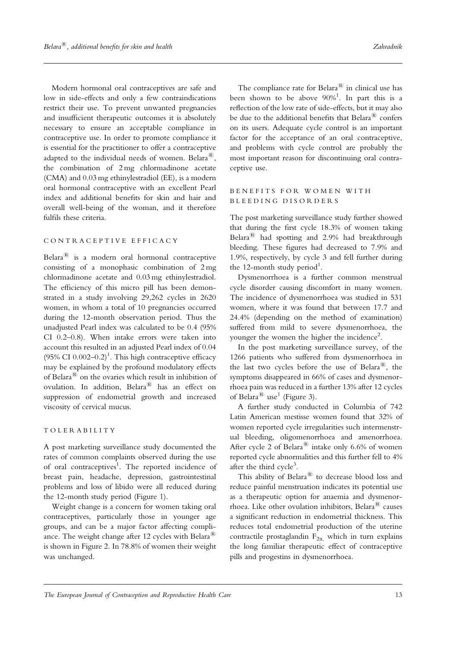Modern hormonal oral contraceptives are safe and low in side-effects and only a few contraindications restrict their use. To prevent unwanted pregnancies and insufficient therapeutic outcomes it is absolutely necessary to ensure an acceptable compliance in contraceptive use. In order to promote compliance it is essential for the practitioner to offer a contraceptive adapted to the individual needs of women. Belara<sup> $R$ </sup>, the combination of 2 mg chlormadinone acetate (CMA) and 0.03 mg ethinylestradiol (EE), is a modern oral hormonal contraceptive with an excellent Pearl index and additional benefits for skin and hair and overall well-being of the woman, and it therefore fulfils these criteria.

# CONTRACEPTIVE EFFICACY

Belara $^{(8)}$  is a modern oral hormonal contraceptive consisting of a monophasic combination of 2 mg chlormadinone acetate and 0.03 mg ethinylestradiol. The efficiency of this micro pill has been demonstrated in a study involving 29,262 cycles in 2620 women, in whom a total of 10 pregnancies occurred during the 12-month observation period. Thus the unadjusted Pearl index was calculated to be 0.4 (95% CI 0.2–0.8). When intake errors were taken into account this resulted in an adjusted Pearl index of 0.04 (95% CI  $0.002 - 0.2$ )<sup>1</sup>. This high contraceptive efficacy may be explained by the profound modulatory effects of Belara $^{\circledR}$  on the ovaries which result in inhibition of ovulation. In addition, Belara<sup>®</sup> has an effect on suppression of endometrial growth and increased viscosity of cervical mucus.

#### TOLERABILITY

A post marketing surveillance study documented the rates of common complaints observed during the use of oral contraceptives<sup>1</sup>. The reported incidence of breast pain, headache, depression, gastrointestinal problems and loss of libido were all reduced during the 12-month study period (Figure 1).

Weight change is a concern for women taking oral contraceptives, particularly those in younger age groups, and can be a major factor affecting compliance. The weight change after 12 cycles with Belara<sup> $18$ </sup> is shown in Figure 2. In 78.8% of women their weight was unchanged.

The compliance rate for Belara $^{(8)}$  in clinical use has been shown to be above  $90\%$ <sup>1</sup>. In part this is a reflection of the low rate of side-effects, but it may also be due to the additional benefits that  $Belara^{\circledR}$  confers on its users. Adequate cycle control is an important factor for the acceptance of an oral contraceptive, and problems with cycle control are probably the most important reason for discontinuing oral contraceptive use.

# BENEFITS FOR WOMEN WITH BLEEDING DISORDERS

The post marketing surveillance study further showed that during the first cycle 18.3% of women taking Belara<sup>®</sup> had spotting and 2.9% had breakthrough bleeding. These figures had decreased to 7.9% and 1.9%, respectively, by cycle 3 and fell further during the 12-month study period<sup>1</sup>.

Dysmenorrhoea is a further common menstrual cycle disorder causing discomfort in many women. The incidence of dysmenorrhoea was studied in 531 women, where it was found that between 17.7 and 24.4% (depending on the method of examination) suffered from mild to severe dysmenorrhoea, the younger the women the higher the incidence<sup>2</sup>.

In the post marketing surveillance survey, of the 1266 patients who suffered from dysmenorrhoea in the last two cycles before the use of Belara $^{(8)}$ , the symptoms disappeared in 66% of cases and dysmenorrhoea pain was reduced in a further 13% after 12 cycles of Belara<sup> $\text{R}$ </sup> use<sup>1</sup> (Figure 3).

A further study conducted in Columbia of 742 Latin American mestisse women found that 32% of women reported cycle irregularities such intermenstrual bleeding, oligomenorrhoea and amenorrhoea. After cycle 2 of Belara<sup>®</sup> intake only 6.6% of women reported cycle abnormalities and this further fell to 4% after the third cycle<sup>3</sup>.

This ability of Belara<sup>®</sup> to decrease blood loss and reduce painful menstruation indicates its potential use as a therapeutic option for anaemia and dysmenorrhoea. Like other ovulation inhibitors, Belara $^{\circledR}$  causes a significant reduction in endometrial thickness. This reduces total endometrial production of the uterine contractile prostaglandin  $F_{2\alpha}$ , which in turn explains the long familiar therapeutic effect of contraceptive pills and progestins in dysmenorrhoea.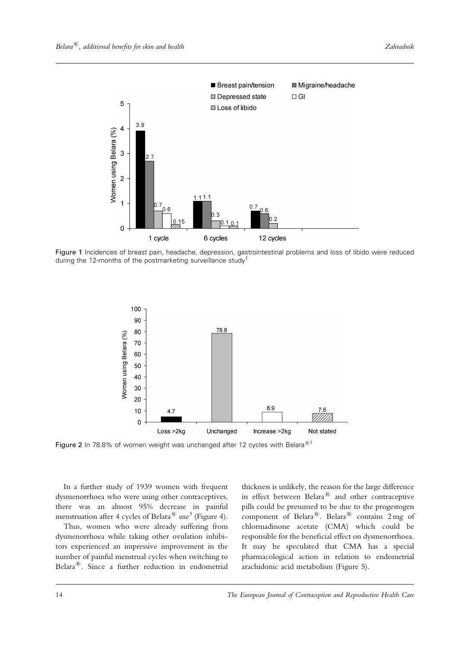

Figure 1 Incidences of breast pain, headache, depression, gastrointestinal problems and loss of libido were reduced during the 12-months of the postmarketing surveillance study<sup>1</sup>



Figure 2 In 78.8% of women weight was unchanged after 12 cycles with Belara<sup>®1</sup>

In a further study of 1939 women with frequent dysmenorrhoea who were using other contraceptives, there was an almost 95% decrease in painful menstruation after 4 cycles of Belara<sup>®</sup> use<sup>3</sup> (Figure 4).

Thus, women who were already suffering from dysmenorrhoea while taking other ovulation inhibitors experienced an impressive improvement in the number of painful menstrual cycles when switching to Belara $^{(8)}$ . Since a further reduction in endometrial

thickness is unlikely, the reason for the large difference in effect between  $\overrightarrow{B}$  Belara<sup>®</sup> and other contraceptive pills could be presumed to be due to the progestogen component of Belara<sup>®</sup>. Belara<sup>®</sup> contains  $2 \text{ mg}$  of chlormadinone acetate (CMA) which could be responsible for the beneficial effect on dysmenorrhoea. It may be speculated that CMA has a special pharmacological action in relation to endometrial arachidonic acid metabolism (Figure 5).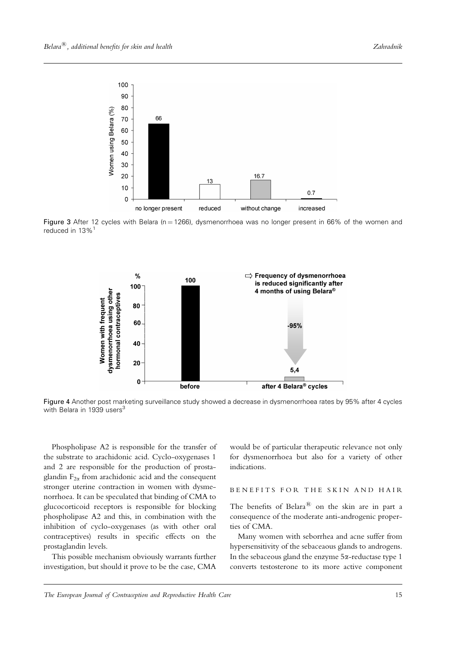

Figure 3 After 12 cycles with Belara ( $n = 1266$ ), dysmenorrhoea was no longer present in 66% of the women and reduced in 13%<sup>1</sup>



Figure 4 Another post marketing surveillance study showed a decrease in dysmenorrhoea rates by 95% after 4 cycles with Belara in 1939 users<sup>3</sup>

Phospholipase A2 is responsible for the transfer of the substrate to arachidonic acid. Cyclo-oxygenases 1 and 2 are responsible for the production of prostaglandin  $F_{2\alpha}$  from arachidonic acid and the consequent stronger uterine contraction in women with dysmenorrhoea. It can be speculated that binding of CMA to glucocorticoid receptors is responsible for blocking phospholipase A2 and this, in combination with the inhibition of cyclo-oxygenases (as with other oral contraceptives) results in specific effects on the prostaglandin levels.

This possible mechanism obviously warrants further investigation, but should it prove to be the case, CMA

would be of particular therapeutic relevance not only for dysmenorrhoea but also for a variety of other indications.

#### BENEFITS FOR THE SKIN AND HAIR

The benefits of Belara $^{(8)}$  on the skin are in part a consequence of the moderate anti-androgenic properties of CMA.

Many women with seborrhea and acne suffer from hypersensitivity of the sebaceaous glands to androgens. In the sebaceous gland the enzyme  $5\alpha$ -reductase type 1 converts testosterone to its more active component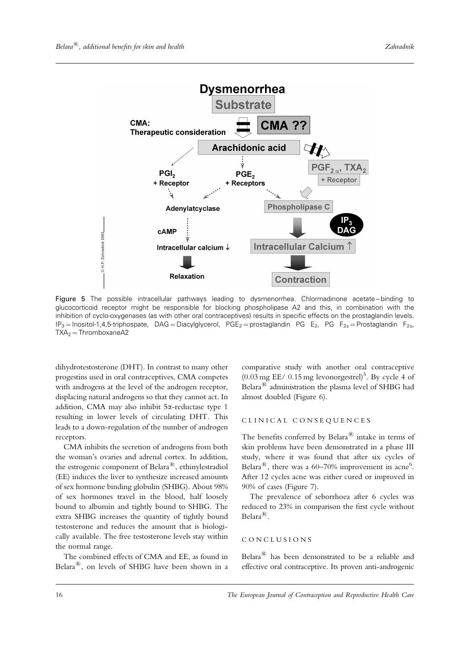

Figure 5 The possible intracellular pathways leading to dysmenorrhea. Chlormadinone acetate-binding to glucocorticoid receptor might be responsible for blocking phospholipase A2 and this, in combination with the inhibition of cyclo-oxygenases (as with other oral contraceptives) results in specific effects on the prostaglandin levels.  $IP_3$  = Inositol-1,4,5-triphospate, DAG = Diacylglycerol, PGE<sub>2</sub> = prostaglandin PG E<sub>2</sub>, PG F<sub>2a</sub> = Prostaglandin F<sub>2a</sub>,  $TXA<sub>2</sub> = ThromboxaneA2$ 

dihydrotestosterone (DHT). In contrast to many other progestins used in oral contraceptives, CMA competes with androgens at the level of the androgen receptor, displacing natural androgens so that they cannot act. In addition, CMA may also inhibit 5*x*-reductase type 1 resulting in lower levels of circulating DHT. This leads to a down-regulation of the number of androgen receptors.

CMA inhibits the secretion of androgens from both the woman's ovaries and adrenal cortex. In addition, the estrogenic component of Belara<sup> $\mathbf{B}$ </sup>, ethinylestradiol (EE) induces the liver to synthesize increased amounts of sex hormone binding globulin (SHBG). About 98% of sex hormones travel in the blood, half loosely bound to albumin and tightly bound to SHBG. The extra SHBG increases the quantity of tightly bound testosterone and reduces the amount that is biologically available. The free testosterone levels stay within the normal range.

The combined effects of CMA and EE, as found in Belara $^{(8)}$ , on levels of SHBG have been shown in a

comparative study with another oral contraceptive  $(0.03 \text{ mg EE}/0.15 \text{ mg levonorgestrel})^5$ . By cycle 4 of Belara $^{(8)}$  administration the plasma level of SHBG had almost doubled (Figure 6).

### CLINICAL CONSEQUENCES

The benefits conferred by Belara $^{\circledR}$  intake in terms of skin problems have been demonstrated in a phase III study, where it was found that after six cycles of Belara<sup>®</sup>, there was a 60–70% improvement in acne<sup>6</sup>. After 12 cycles acne was either cured or improved in 90% of cases (Figure 7).

The prevalence of seborrhoea after 6 cycles was reduced to 23% in comparison the first cycle without  $Belara^{\circledR}$ .

#### CONCLUSIONS

Belara $^{(8)}$  has been demonstrated to be a reliable and effective oral contraceptive. Its proven anti-androgenic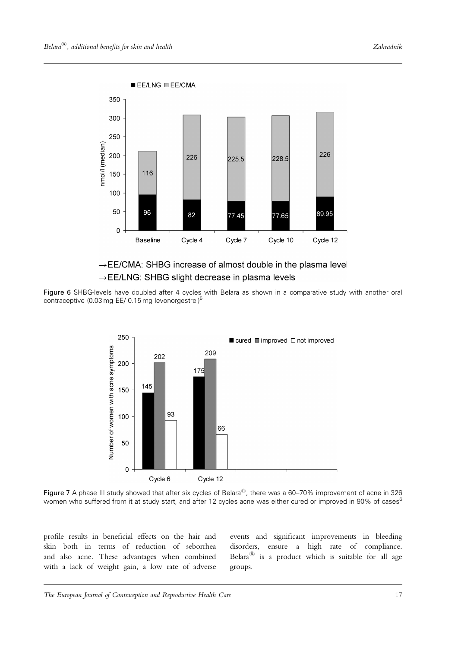

# $\rightarrow$  EE/CMA: SHBG increase of almost double in the plasma level → EE/LNG: SHBG slight decrease in plasma levels

Figure 6 SHBG-levels have doubled after 4 cycles with Belara as shown in a comparative study with another oral contraceptive (0.03 mg EE/ 0.15 mg levonorgestrel)<sup>5</sup>



Figure 7 A phase III study showed that after six cycles of Belara<sup>®</sup>, there was a 60–70% improvement of acne in 326 women who suffered from it at study start, and after 12 cycles acne was either cured or improved in 90% of cases<sup>6</sup>

profile results in beneficial effects on the hair and skin both in terms of reduction of seborrhea and also acne. These advantages when combined with a lack of weight gain, a low rate of adverse events and significant improvements in bleeding disorders, ensure a high rate of compliance. Belara $^{(8)}$  is a product which is suitable for all age groups.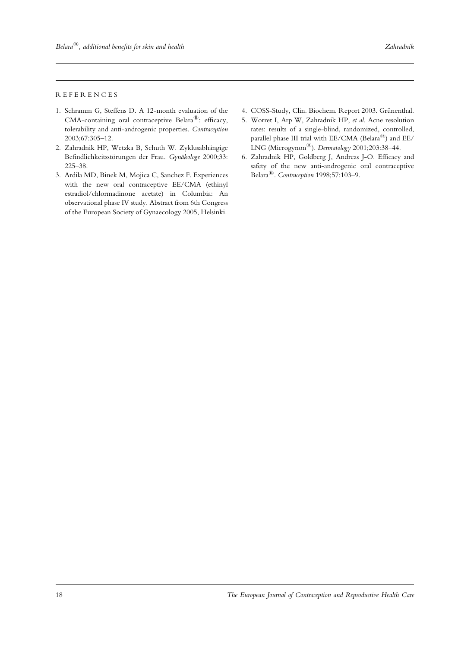#### REFERENCES

- 1. Schramm G, Steffens D. A 12-month evaluation of the CMA-containing oral contraceptive Belara $^{\circledR}$ : efficacy, tolerability and anti-androgenic properties. Contraception 2003;67:305–12.
- 2. Zahradnik HP, Wetzka B, Schuth W. Zyklusabhängige Befindlichkeitsstörungen der Frau. Gynäkologe 2000;33: 225–38.
- 3. Ardila MD, Binek M, Mojica C, Sanchez F. Experiences with the new oral contraceptive EE/CMA (ethinyl estradiol/chlormadinone acetate) in Columbia: An observational phase IV study. Abstract from 6th Congress of the European Society of Gynaecology 2005, Helsinki.
- 4. COSS-Study, Clin. Biochem. Report 2003. Grünenthal.
- 5. Worret I, Arp W, Zahradnik HP, et al. Acne resolution rates: results of a single-blind, randomized, controlled, parallel phase III trial with  $EE/CMA$  (Belara $^{(8)}$ ) and  $EE/$ LNG (Microgynon<sup>®</sup>). Dermatology 2001;203:38-44.
- 6. Zahradnik HP, Goldberg J, Andreas J-O. Efficacy and safety of the new anti-androgenic oral contraceptive Belara<sup>®</sup>. Contraception 1998;57:103-9.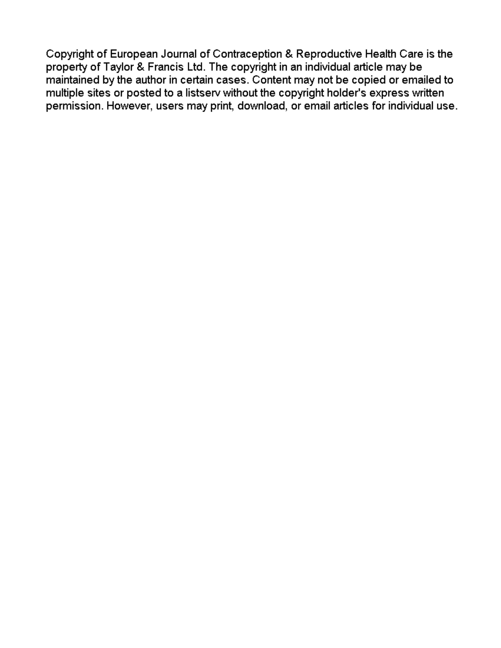Copyright of European Journal of Contraception & Reproductive Health Care is the property of Taylor & Francis Ltd. The copyright in an individual article may be maintained by the author in certain cases. Content may not be copied or emailed to multiple sites or posted to a listserv without the copyright holder's express written permission. However, users may print, download, or email articles for individual use.